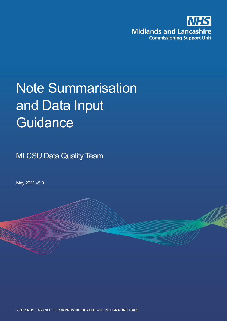

# Note Summarisation and Data Input **Guidance**

**MLCSU Data Quality Team** 

May 2021 v5.0

YOUR NHS PARTNER FOR **IMPROVING HEALTH** AND **INTEGRATING CARE**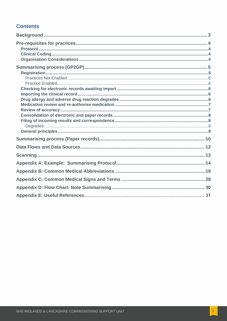#### **Contents**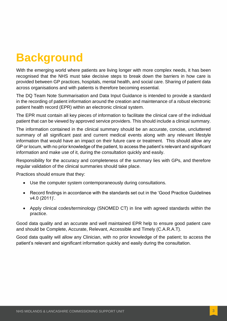# <span id="page-2-0"></span>**Background**

With the emerging world where patients are living longer with more complex needs, it has been recognised that the NHS must take decisive steps to break down the barriers in how care is provided between GP practices, hospitals, mental health, and social care. Sharing of patient data across organisations and with patients is therefore becoming essential.

The DQ Team Note Summarisation and Data Input Guidance is intended to provide a standard in the recording of patient information around the creation and maintenance of a robust electronic patient health record (EPR) within an electronic clinical system.

The EPR must contain all key pieces of information to facilitate the clinical care of the individual patient that can be viewed by approved service providers. This should include a clinical summary.

The information contained in the clinical summary should be an accurate, concise, uncluttered summary of all significant past and current medical events along with any relevant lifestyle information that would have an impact on their future care or treatment. This should allow any GP or locum, with no prior knowledge of the patient, to access the patient's relevant and significant information and make use of it, during the consultation quickly and easily.

Responsibility for the accuracy and completeness of the summary lies with GPs, and therefore regular validation of the clinical summaries should take place.

Practices should ensure that they:

- Use the computer system contemporaneously during consultations.
- Record findings in accordance with the standards set out in the 'Good Practice Guidelines v4.0 (2011)'.
- Apply clinical codes/terminology (SNOMED CT) in line with agreed standards within the practice.

Good data quality and an accurate and well maintained EPR help to ensure good patient care and should be Complete, Accurate, Relevant, Accessible and Timely (C.A.R.A.T).

Good data quality will allow any Clinician, with no prior knowledge of the patient; to access the patient's relevant and significant information quickly and easily during the consultation.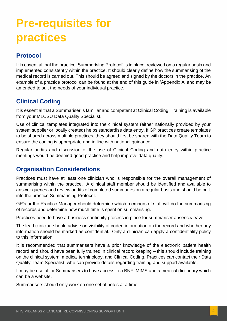# <span id="page-3-0"></span>**Pre-requisites for practices**

### <span id="page-3-1"></span>**Protocol**

It is essential that the practice 'Summarising Protocol' is in place, reviewed on a regular basis and implemented consistently within the practice. It should clearly define how the summarising of the medical record is carried out. This should be agreed and signed by the doctors in the practice. An example of a practice protocol can be found at the end of this guide in 'Appendix A' and may be amended to suit the needs of your individual practice.

### <span id="page-3-2"></span>**Clinical Coding**

It is essential that a Summariser is familiar and competent at Clinical Coding. Training is available from your MLCSU Data Quality Specialist.

Use of clinical templates integrated into the clinical system (either nationally provided by your system supplier or locally created) helps standardise data entry. If GP practices create templates to be shared across multiple practices, they should first be shared with the Data Quality Team to ensure the coding is appropriate and in line with national guidance.

Regular audits and discussion of the use of Clinical Coding and data entry within practice meetings would be deemed good practice and help improve data quality.

### <span id="page-3-3"></span>**Organisation Considerations**

Practices must have at least one clinician who is responsible for the overall management of summarising within the practice. A clinical staff member should be identified and available to answer queries and review audits of completed summaries on a regular basis and should be built into the practice Summarising Protocol.

GP's or the Practice Manager should determine which members of staff will do the summarising of records and determine how much time is spent on summarising.

Practices need to have a business continuity process in place for summariser absence/leave.

The lead clinician should advise on visibility of coded information on the record and whether any information should be marked as confidential. Only a clinician can apply a confidentiality policy to this information.

It is recommended that summarisers have a prior knowledge of the electronic patient health record and should have been fully trained in clinical record keeping – this should include training on the clinical system, medical terminology, and Clinical Coding. Practices can contact their Data Quality Team Specialist, who can provide details regarding training and support available.

It may be useful for Summarisers to have access to a BNF, MIMS and a medical dictionary which can be a website.

Summarisers should only work on one set of notes at a time.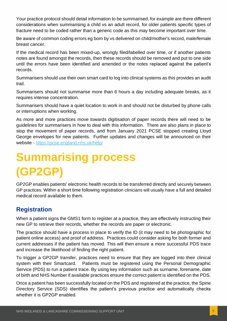Your practice protocol should detail information to be summarised, for example are there different considerations when summarising a child vs an adult record, for older patients specific types of fracture need to be coded rather than a generic code as this may become important over time.

Be aware of common coding errors eg born by vs delivered on child/mother's record, male/female breast cancer.

If the medical record has been mixed-up, wrongly filed/labelled over time, or if another patients notes are found amongst the records, then these records should be removed and put to one side until the errors have been identified and amended or the notes replaced against the patient's records.

Summarisers should use their own smart card to log into clinical systems as this provides an audit trail.

Summarisers should not summarise more than 6 hours a day including adequate breaks, as it requires intense concentration.

Summarisers should have a quiet location to work in and should not be disturbed by phone calls or interruptions when working.

As more and more practices move towards digitisation of paper records there will need to be guidelines for summarisers in how to deal with this information. There are also plans in place to stop the movement of paper records, and from January 2021 PCSE stopped creating Lloyd George envelopes for new patients. Further updates and changes will be announced on their website - <https://pcse.england.nhs.uk/help/>

# <span id="page-4-0"></span>**Summarising process (GP2GP)**

GP2GP enables patients' electronic health records to be transferred directly and securely between GP practices. Within a short time following registration clinicians will usually have a full and detailed medical record available to them.

### <span id="page-4-1"></span>**Registration**

When a patient signs the GMS1 form to register at a practice, they are effectively instructing their new GP to retrieve their records, whether the records are paper or electronic.

The practice should have a process in place to verify the ID (it may need to be photographic for patient online access) and proof of address. Practices could consider asking for both former and current addresses if the patient has moved. This will then ensure a more successful PDS trace and increase the likelihood of finding the right patient.

To trigger a GP2GP transfer, practices need to ensure that they are logged into their clinical system with their Smartcard. Patients must be registered using the Personal Demographic Service (PDS) to run a patient trace. By using key information such as surname, forename, date of birth and NHS Number if available practices ensure the correct patient is identified on the PDS.

Once a patient has been successfully located on the PDS and registered at the practice, the Spine Directory Service (SDS) identifies the patient's previous practice and automatically checks whether it is GP2GP enabled.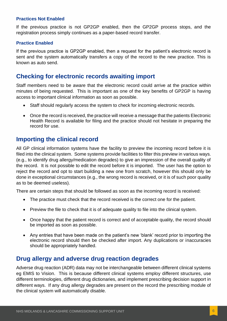#### <span id="page-5-0"></span>**Practices Not Enabled**

If the previous practice is not GP2GP enabled, then the GP2GP process stops, and the registration process simply continues as a paper-based record transfer.

#### <span id="page-5-1"></span>**Practice Enabled**

If the previous practice is GP2GP enabled, then a request for the patient's electronic record is sent and the system automatically transfers a copy of the record to the new practice. This is known as auto send.

#### <span id="page-5-2"></span>**Checking for electronic records awaiting import**

Staff members need to be aware that the electronic record could arrive at the practice within minutes of being requested. This is important as one of the key benefits of GP2GP is having access to important clinical information as soon as possible.

- Staff should regularly access the system to check for incoming electronic records.
- Once the record is received, the practice will receive a message that the patients Electronic Health Record is available for filing and the practice should not hesitate in preparing the record for use.

#### <span id="page-5-3"></span>**Importing the clinical record**

All GP clinical information systems have the facility to preview the incoming record before it is filed into the clinical system. Some systems provide facilities to filter this preview in various ways. (e.g., to identify drug allergy/medication degrades) to give an impression of the overall quality of the record. It is not possible to edit the record before it is imported. The user has the option to reject the record and opt to start building a new one from scratch, however this should only be done in exceptional circumstances (e.g., the wrong record is received, or it is of such poor quality as to be deemed useless).

There are certain steps that should be followed as soon as the incoming record is received:

- The practice must check that the record received is the correct one for the patient.
- Preview the file to check that it is of adequate quality to file into the clinical system.
- Once happy that the patient record is correct and of acceptable quality, the record should be imported as soon as possible.
- Any entries that have been made on the patient's new 'blank' record prior to importing the electronic record should then be checked after import. Any duplications or inaccuracies should be appropriately handled.

#### <span id="page-5-4"></span>**Drug allergy and adverse drug reaction degrades**

Adverse drug reaction (ADR) data may not be interchangeable between different clinical systems eg EMIS to Vision. This is because different clinical systems employ different structures, use different terminologies, different drug dictionaries, and implement prescribing decision support in different ways. If any drug allergy degrades are present on the record the prescribing module of the clinical system will automatically disable.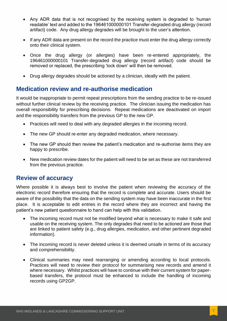- Any ADR data that is not recognised by the receiving system is degraded to 'human readable' text and added to the 196461000000101 Transfer-degraded drug allergy (record artifact) code. Any drug allergy degrades will be brought to the user's attention.
- If any ADR data are present on the record the practice must enter the drug allergy correctly onto their clinical system.
- Once the drug allergy (or allergies) have been re-entered appropriately, the 196461000000101 Transfer-degraded drug allergy (record artifact) code should be removed or replaced, the prescribing 'lock down' will then be removed.
- Drug allergy degrades should be actioned by a clinician, ideally with the patient.

#### <span id="page-6-0"></span>**Medication review and re-authorise medication**

It would be inappropriate to permit repeat prescriptions from the sending practice to be re-issued without further clinical review by the receiving practice. The clinician issuing the medication has overall responsibility for prescribing decisions. Repeat medications are deactivated on import and the responsibility transfers from the previous GP to the new GP.

- Practices will need to deal with any degraded allergies in the incoming record.
- The new GP should re-enter any degraded medication, where necessary.
- The new GP should then review the patient's medication and re-authorise items they are happy to prescribe.
- New medication review dates for the patient will need to be set as these are not transferred from the previous practice.

#### <span id="page-6-1"></span>**Review of accuracy**

Where possible it is always best to involve the patient when reviewing the accuracy of the electronic record therefore ensuring that the record is complete and accurate. Users should be aware of the possibility that the data on the sending system may have been inaccurate in the first place. It is acceptable to edit entries in the record where they are incorrect and having the patient's new patient questionnaire to hand can help with this validation.

- The incoming record must not be modified beyond what is necessary to make it safe and usable on the receiving system. The only degrades that need to be actioned are those that are linked to patient safety (e.g., drug allergies, medication, and other pertinent degraded information).
- The incoming record is never deleted unless it is deemed unsafe in terms of its accuracy and comprehensibility.
- Clinical summaries may need rearranging or amending according to local protocols. Practices will need to review their protocol for summarising new records and amend it where necessary. Whilst practices will have to continue with their current system for paperbased transfers, the protocol must be enhanced to include the handling of incoming records using GP2GP.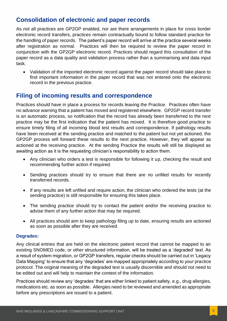### <span id="page-7-0"></span>**Consolidation of electronic and paper records**

As not all practices are GP2GP enabled, nor are there arrangements in place for cross border electronic record transfers, practices remain contractually bound to follow standard practice for the handling of paper records. The patient's paper record will arrive at the practice several weeks after registration as normal. Practices will then be required to review the paper record in conjunction with the GP2GP electronic record. Practices should regard this consultation of the paper record as a data quality and validation process rather than a summarising and data input task.

• Validation of the imported electronic record against the paper record should take place to find important information in the paper record that was not entered onto the electronic record in the previous practice.

#### <span id="page-7-1"></span>**Filing of incoming results and correspondence**

Practices should have in place a process for records leaving the Practice. Practices often have no advance warning that a patient has moved and registered elsewhere. GP2GP record transfer is an automatic process, so notification that the record has already been transferred to the next practice may be the first indication that the patient has moved. It is therefore good practice to ensure timely filing of all incoming blood test results and correspondence. If pathology results have been received at the sending practice and matched to the patient but not yet actioned, the GP2GP process will forward these results to the next practice. However, they will appear as actioned at the receiving practice. At the sending Practice the results will still be displayed as awaiting action as it is the requesting clinician's responsibility to action them.

- Any clinician who orders a test is responsible for following it up, checking the result and recommending further action if required.
- Sending practices should try to ensure that there are no unfiled results for recently transferred records.
- If any results are left unfiled and require action, the clinician who ordered the tests (at the sending practice) is still responsible for ensuring this takes place.
- The sending practice should try to contact the patient and/or the receiving practice to advise them of any further action that may be required.
- All practices should aim to keep pathology filing up to date, ensuring results are actioned as soon as possible after they are received.

#### <span id="page-7-2"></span>**Degrades:**

Any clinical entries that are held on the electronic patient record that cannot be mapped to an existing SNOMED code, or other structured information, will be treated as a 'degraded' text. As a result of system migration, or GP2GP transfers, regular checks should be carried out in 'Legacy Data Mapping' to ensure that any 'degrades' are mapped appropriately according to your practice protocol. The original meaning of the degraded text is usually discernible and should not need to be edited out and will help to maintain the context of the information.

Practices should review any 'degrades' that are either linked to patient safety, e.g., drug allergies, medications etc. as soon as possible. Allergies need to be reviewed and amended as appropriate before any prescriptions are issued to a patient.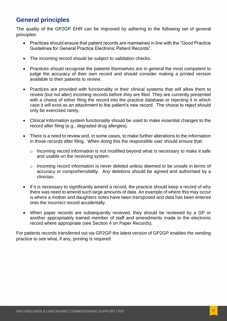### <span id="page-8-0"></span>**General principles**

The quality of the GP2GP EHR can be improved by adhering to the following set of general principles:

- Practices should ensure that patient records are maintained in line with the "Good Practice Guidelines for General Practice Electronic Patient Records".
- The incoming record should be subject to validation checks.
- Practices should recognise the patients themselves are in general the most competent to judge the accuracy of their own record and should consider making a printed version available to their patients to review.
- Practices are provided with functionality in their clinical systems that will allow them to review (but not alter) incoming records before they are filed. They are currently presented with a choice of either filing the record into the practice database or rejecting it in which case it will exist as an attachment to the patient's new record. The choice to reject should only be exercised rarely.
- Clinical Information system functionality should be used to make essential changes to the record after filing (e.g., degraded drug allergies).
- There is a need to review and, in some cases, to make further alterations to the information in those records after filing. When doing this the responsible user should ensure that:
	- o Incoming record information is not modified beyond what is necessary to make it safe and usable on the receiving system.
	- o Incoming record information is never deleted unless deemed to be unsafe in terms of accuracy or comprehensibility. Any deletions should be agreed and authorised by a clinician.
- If it is necessary to significantly amend a record, the practice should keep a record of why there was need to amend such large amounts of data. An example of where this may occur is where a mother and daughters notes have been transposed and data has been entered onto the incorrect record accidentally.
- When paper records are subsequently received, they should be reviewed by a GP or another appropriately trained member of staff and amendments made to the electronic record where appropriate (see Section 4 on Paper Records).

<span id="page-8-1"></span>For patients records transferred out via GP2GP the latest version of GP2GP enables the sending practice to see what, if any, printing is required.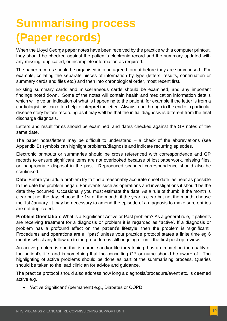# **Summarising process (Paper records)**

When the Lloyd George paper notes have been received by the practice with a computer printout, they should be checked against the patient's electronic record and the summary updated with any missing, duplicated, or incomplete information as required.

The paper records should be organised into an agreed format before they are summarised. For example, collating the separate pieces of information by type (letters, results, continuation or summary cards and files etc.) and then into chronological order, most recent first.

Existing summary cards and miscellaneous cards should be examined, and any important findings noted down. Some of the notes will contain health and medication information details which will give an indication of what is happening to the patient, for example if the letter is from a cardiologist this can often help to interpret the letter. Always read through to the end of a particular disease story before recording as it may well be that the initial diagnosis is different from the final discharge diagnosis.

Letters and result forms should be examined, and dates checked against the GP notes of the same date.

The paper notes/letters may be difficult to understand  $-$  a check of the abbreviations (see Appendix B) symbols can highlight problems/diagnosis and indicate recurring episodes.

Electronic printouts or summaries should be cross referenced with correspondence and GP records to ensure significant items are not overlooked because of lost paperwork, missing files, or inappropriate disposal in the past. Reproduced scanned correspondence should also be scrutinised.

**Date**: Before you add a problem try to find a reasonably accurate onset date, as near as possible to the date the problem began. For events such as operations and investigations it should be the date they occurred. Occasionally you must estimate the date. As a rule of thumb, if the month is clear but not the day, choose the 1st of the month; if the year is clear but not the month, choose the 1st January. It may be necessary to amend the episode of a diagnosis to make sure entries are not duplicated.

**Problem Orientation**: What is a Significant Active or Past problem? As a general rule, if patients are receiving treatment for a diagnosis or problem it is regarded as "active'. If a diagnosis or problem has a profound effect on the patient's lifestyle, then the problem is 'significant'. Procedures and operations are all 'past' unless your practice protocol states a finite time eg 6 months whilst any follow up to the procedure is still ongoing or until the first post op review.

An active problem is one that is chronic and/or life threatening, has an impact on the quality of the patient's life, and is something that the consulting GP or nurse should be aware of. The highlighting of active problems should be done as part of the summarising process. Queries should be taken to the lead clinician for advice and guidance.

The practice protocol should also address how long a diagnosis/procedure/event etc. is deemed active e.g.

• 'Active Significant' (permanent) e.g., Diabetes or COPD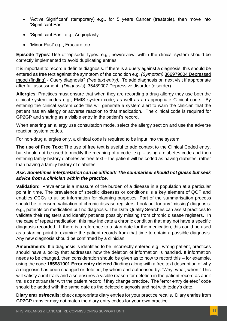- 'Active Significant' (temporary) e.g., for 5 years Cancer (treatable), then move into 'Significant Past'
- 'Significant Past' e.g., Angioplasty
- 'Minor Past' e.g., Fracture toe

**Episode Types**: Use of 'episode' types: e.g., new/review, within the clinical system should be correctly implemented to avoid duplicating entries.

It is important to record a definite diagnosis. If there is a query against a diagnosis, this should be entered as free text against the symptom of the condition e.g. *(Symptom)* 366979004 Depressed mood (finding) - Query diagnosis? *(free text entry).* To add diagnosis on next visit if appropriate after full assessment. (*Diagnosis*) 35489007 Depressive disorder (disorder)

**Allergies**: Practices must ensure that when they are recording a drug allergy they use both the clinical system codes e.g., EMIS system code, as well as an appropriate Clinical code. By entering the clinical system code this will generate a system alert to warn the clinician that the patient has an allergy or adverse reaction to that medication. The clinical code is required for GP2GP and sharing as a visible entry in the patient's record.

When entering an allergy use consultation mode, select the allergy section and use the adverse reaction system codes.

For non-drug allergies only, a clinical code is required to be input into the system

**The use of Free Text**: The use of free text is useful to add context to the Clinical Coded entry, but should not be used to modify the meaning of a code: e.g. – using a diabetes code and then entering family history diabetes as free text – the patient will be coded as having diabetes, rather than having a family history of diabetes.

#### *Ask: Sometimes interpretation can be difficult! The summariser should not guess but seek advice from a clinician within the practice.*

**Validation**: Prevalence is a measure of the burden of a disease in a population at a particular point in time. The prevalence of specific diseases or conditions is a key element of QOF and enables CCGs to utilise information for planning purposes. Part of the summarisation process should be to ensure validation of chronic disease registers. Look out for any 'missing' diagnosis: e.g., patients on medication but no diagnosis. The Data Quality Searches can assist practices to validate their registers and identify patients possibly missing from chronic disease registers. In the case of repeat medication, this may indicate a chronic condition that may not have a specific diagnosis recorded. If there is a reference to a start date for the medication, this could be used as a starting point to examine the patient records from that time to obtain a possible diagnosis. Any new diagnosis should be confirmed by a clinician.

**Amendments**: If a diagnosis is identified to be incorrectly entered e.g., wrong patient, practices should have a policy that addresses how the deletion of information is handled. If information needs to be changed, then consideration should be given as to how to record this – for example, using the code **185981001 Error entry deleted** (finding) along with a free text description of why a diagnosis has been changed or deleted, by whom and authorised by: 'Why, what, when.' This will satisfy audit trails and also ensures a visible reason for deletion in the patient record as audit trails do not transfer with the patient record if they change practice. The "error entry deleted" code should be added with the same date as the deleted diagnosis and not with today's date.

**Diary entries/recalls**: check appropriate diary entries for your practice recalls. Diary entries from GP2GP transfer may not match the diary entry codes for your own practice.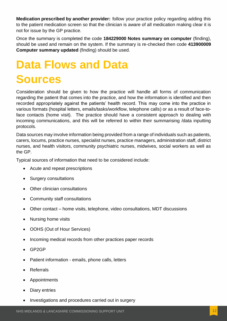**Medication prescribed by another provider:** follow your practice policy regarding adding this to the patient medication screen so that the clinician is aware of all medication making clear it is not for issue by the GP practice.

Once the summary is completed the code **184229000 Notes summary on computer** (finding), should be used and remain on the system. If the summary is re-checked then code **413900009 Computer summary updated** (finding) should be used.

# <span id="page-11-0"></span>**Data Flows and Data Sources**

Consideration should be given to how the practice will handle all forms of communication regarding the patient that comes into the practice, and how the information is identified and then recorded appropriately against the patients' health record. This may come into the practice in various formats (hospital letters, emails/tasks/workflow, telephone calls) or as a result of face-toface contacts (home visit). The practice should have a consistent approach to dealing with incoming communications, and this will be referred to within their summarising /data inputting protocols.

Data sources may involve information being provided from a range of individuals such as patients, carers, locums, practice nurses, specialist nurses, practice managers, administration staff, district nurses, and health visitors, community psychiatric nurses, midwives, social workers as well as the GP.

Typical sources of information that need to be considered include:

- Acute and repeat prescriptions
- Surgery consultations
- Other clinician consultations
- Community staff consultations
- Other contact home visits, telephone, video consultations, MDT discussions
- Nursing home visits
- OOHS (Out of Hour Services)
- Incoming medical records from other practices paper records
- GP2GP
- Patient information emails, phone calls, letters
- **Referrals**
- **Appointments**
- Diary entries
- Investigations and procedures carried out in surgery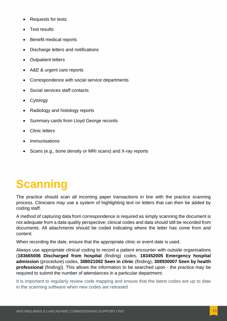- Requests for tests
- Test results
- Benefit medical reports
- Discharge letters and notifications
- Outpatient letters
- A&E & urgent care reports
- Correspondence with social service departments
- Social services staff contacts
- **Cytology**
- Radiology and histology reports
- Summary cards from Lloyd George records
- Clinic letters
- **Immunisations**
- Scans (e.g., bone density or MRI scans) and X-ray reports

# <span id="page-12-0"></span>**Scanning**

The practice should scan all incoming paper transactions in line with the practice scanning process. Clinicians may use a system of highlighting text on letters that can then be added by coding staff.

A method of capturing data from correspondence is required as simply scanning the document is not adequate from a data quality perspective; clinical codes and data should still be recorded from documents. All attachments should be coded indicating where the letter has come from and content.

When recording the date, ensure that the appropriate clinic or event date is used.

Always use appropriate clinical coding to record a patient encounter with outside organisations (**183665006 Discharged from hospital** (finding) codes, **183452005 Emergency hospital admission** (procedure) codes, **308021002 Seen in clinic** (finding), **308930007 Seen by health professional** (finding)). This allows the information to be searched upon - the practice may be required to submit the number of attendances in a particular department.

It is important to regularly review code mapping and ensure that the latest codes are up to date in the scanning software when new codes are released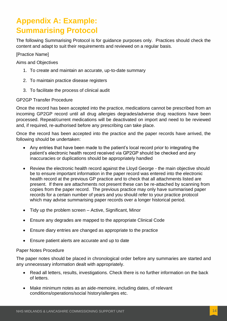### <span id="page-13-0"></span>**Appendix A: Example: Summarising Protocol**

The following Summarising Protocol is for guidance purposes only. Practices should check the content and adapt to suit their requirements and reviewed on a regular basis.

[Practice Name]

Aims and Objectives

- 1. To create and maintain an accurate, up-to-date summary
- 2. To maintain practice disease registers
- 3. To facilitate the process of clinical audit

#### GP2GP Transfer Procedure

Once the record has been accepted into the practice, medications cannot be prescribed from an incoming GP2GP record until all drug allergies degrades/adverse drug reactions have been processed. Repeat/current medications will be deactivated on import and need to be reviewed and, if required, re-authorised before any prescribing can take place.

Once the record has been accepted into the practice and the paper records have arrived, the following should be undertaken:

- Any entries that have been made to the patient's local record prior to integrating the patient's electronic health record received via GP2GP should be checked and any inaccuracies or duplications should be appropriately handled
- Review the electronic health record against the Lloyd George the main objective should be to ensure important information in the paper record was entered into the electronic health record at the previous GP practice and to check that all attachments listed are present. If there are attachments not present these can be re-attached by scanning from copies from the paper record. The previous practice may only have summarised paper records for a certain number of years and you should refer to your practice protocol which may advise summarising paper records over a longer historical period.
- Tidy up the problem screen Active, Significant, Minor
- Ensure any degrades are mapped to the appropriate Clinical Code
- Ensure diary entries are changed as appropriate to the practice
- Ensure patient alerts are accurate and up to date

#### Paper Notes Procedure

The paper notes should be placed in chronological order before any summaries are started and any unnecessary information dealt with appropriately.

- Read all letters, results, investigations. Check there is no further information on the back of letters.
- Make minimum notes as an aide-memoire, including dates, of relevant conditions/operations/social history/allergies etc.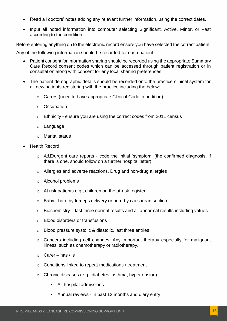- Read all doctors' notes adding any relevant further information, using the correct dates.
- Input all noted information into computer selecting Significant, Active, Minor, or Past according to the condition.

Before entering anything on to the electronic record ensure you have selected the correct patient.

Any of the following information should be recorded for each patient:

- Patient consent for information sharing should be recorded using the appropriate Summary Care Record consent codes which can be accessed through patient registration or in consultation along with consent for any local sharing preferences.
- The patient demographic details should be recorded onto the practice clinical system for all new patients registering with the practice including the below:
	- o Carers (need to have appropriate Clinical Code in addition)
	- o Occupation
	- $\circ$  Ethnicity ensure you are using the correct codes from 2011 census
	- o Language
	- o Marital status
- Health Record
	- o A&E/urgent care reports code the initial 'symptom' (the confirmed diagnosis, if there is one, should follow on a further hospital letter)
	- o Allergies and adverse reactions. Drug and non-drug allergies
	- o Alcohol problems
	- o At risk patients e.g., children on the at-risk register.
	- o Baby born by forceps delivery or born by caesarean section
	- $\circ$  Biochemistry last three normal results and all abnormal results including values
	- o Blood disorders or transfusions
	- o Blood pressure systolic & diastolic, last three entries
	- o Cancers including cell changes. Any important therapy especially for malignant illness, such as chemotherapy or radiotherapy.
	- $\circ$  Carer has / is
	- o Conditions linked to repeat medications / treatment
	- o Chronic diseases (e.g., diabetes, asthma, hypertension)
		- All hospital admissions
		- Annual reviews in past 12 months and diary entry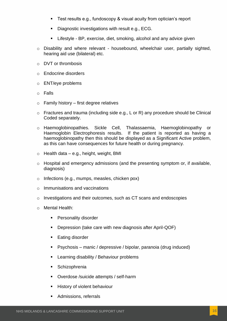- Test results e.g., fundoscopy & visual acuity from optician's report
- Diagnostic investigations with result e.g., ECG.
- Lifestyle BP, exercise, diet, smoking, alcohol and any advice given
- o Disability and where relevant housebound, wheelchair user, partially sighted, hearing aid use (bilateral) etc.
- o DVT or thrombosis
- o Endocrine disorders
- o ENT/eye problems
- o Falls
- $\circ$  Family history first degree relatives
- o Fractures and trauma (including side e.g., L or R) any procedure should be Clinical Coded separately.
- o Haemoglobinopathies. Sickle Cell, Thalassaemia, Haemoglobinopathy or Haemoglobin Electrophoresis results. If the patient is reported as having a haemoglobinopathy then this should be displayed as a Significant Active problem, as this can have consequences for future health or during pregnancy.
- o Health data e.g., height, weight, BMI
- o Hospital and emergency admissions (and the presenting symptom or, if available, diagnosis)
- o Infections (e.g., mumps, measles, chicken pox)
- o Immunisations and vaccinations
- o Investigations and their outcomes, such as CT scans and endoscopies
- o Mental Health:
	- Personality disorder
	- Depression (take care with new diagnosis after April-QOF)
	- **Eating disorder**
	- Psychosis manic / depressive / bipolar, paranoia (drug induced)
	- Learning disability / Behaviour problems
	- **Schizophrenia**
	- Overdose /suicide attempts / self-harm
	- **History of violent behaviour**
	- Admissions, referrals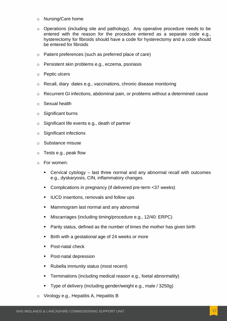- o Nursing/Care home
- $\circ$  Operations (including site and pathology). Any operative procedure needs to be entered with the reason for the procedure entered as a separate code e.g., hysterectomy for fibroids should have a code for hysterectomy and a code should be entered for fibroids
- o Patient preferences (such as preferred place of care)
- o Persistent skin problems e.g., eczema, psoriasis
- o Peptic ulcers
- o Recall, diary dates e.g., vaccinations, chronic disease monitoring
- o Recurrent GI infections, abdominal pain, or problems without a determined cause
- o Sexual health
- o Significant burns
- o Significant life events e.g., death of partner
- $\circ$  Significant infections
- o Substance misuse
- o Tests e.g., peak flow
- o For women:
	- Cervical cytology  $-$  last three normal and any abnormal recall with outcomes e.g., dyskaryosis, CIN, inflammatory changes
	- Complications in pregnancy (if delivered pre-term <37 weeks)
	- IUCD insertions, removals and follow ups
	- Mammogram last normal and any abnormal
	- Miscarriages (including timing/procedure e.g., 12/40: ERPC)
	- Parity status, defined as the number of times the mother has given birth
	- Birth with a gestational age of 24 weeks or more
	- Post-natal check
	- **Post-natal depression**
	- Rubella immunity status (most recent)
	- **E** Terminations (including medical reason e.g., foetal abnormality)
	- Type of delivery (including gender/weight e.g., male / 3250g)
- o Virology e.g., Hepatitis A, Hepatitis B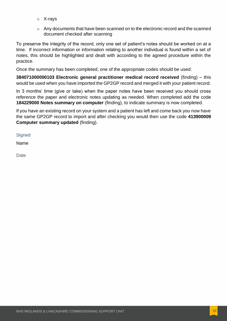- o X-rays
- o Any documents that have been scanned on to the electronic record and the scanned document checked after scanning

To preserve the integrity of the record, only one set of patient's notes should be worked on at a time. If incorrect information or information relating to another individual is found within a set of notes, this should be highlighted and dealt with according to the agreed procedure within the practice.

Once the summary has been completed, one of the appropriate codes should be used:

**384071000000103 Electronic general practitioner medical record received** (finding) – this would be used when you have imported the GP2GP record and merged it with your patient record.

In 3 months' time (give or take) when the paper notes have been received you should cross reference the paper and electronic notes updating as needed. When completed add the code **184229000 Notes summary on computer** (finding), to indicate summary is now completed.

If you have an existing record on your system and a patient has left and come back you now have the same GP2GP record to import and after checking you would then use the code **413900009 Computer summary updated** (finding).

**Signed** 

Name

**Date**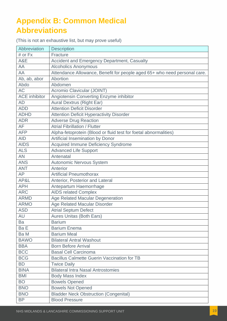### <span id="page-18-0"></span>**Appendix B: Common Medical Abbreviations**

(This is not an exhaustive list, but may prove useful)

| Abbreviation         | <b>Description</b>                                                        |  |
|----------------------|---------------------------------------------------------------------------|--|
| # or Fx              | Fracture                                                                  |  |
| A&E                  | Accident and Emergency Department, Casualty                               |  |
| AA                   | <b>Alcoholics Anonymous</b>                                               |  |
| AA                   | Attendance Allowance, Benefit for people aged 65+ who need personal care. |  |
| Ab, ab, abor         | Abortion                                                                  |  |
| Abdo                 | Abdomen                                                                   |  |
| <b>AC</b>            | Acromio Clavicular (JOINT)                                                |  |
| <b>ACE</b> inhibitor | Angiotensin Converting Enzyme inhibitor                                   |  |
| <b>AD</b>            | <b>Aural Dextrus (Right Ear)</b>                                          |  |
| <b>ADD</b>           | <b>Attention Deficit Disorder</b>                                         |  |
| <b>ADHD</b>          | <b>Attention Deficit Hyperactivity Disorder</b>                           |  |
| <b>ADR</b>           | <b>Adverse Drug Reaction</b>                                              |  |
| AF                   | <b>Atrial Fibrillation / Flutter</b>                                      |  |
| <b>AFP</b>           | Alpha-fetoprotein (Blood or fluid test for foetal abnormalities)          |  |
| <b>AID</b>           | Artificial Insemination by Donor                                          |  |
| <b>AIDS</b>          | Acquired Immune Deficiency Syndrome                                       |  |
| <b>ALS</b>           | <b>Advanced Life Support</b>                                              |  |
| <b>AN</b>            | Antenatal                                                                 |  |
| <b>ANS</b>           | <b>Autonomic Nervous System</b>                                           |  |
| <b>ANT</b>           | Anterior                                                                  |  |
| <b>AP</b>            | <b>Artificial Pneumothorax</b>                                            |  |
| AP&L                 | Anterior, Posterior and Lateral                                           |  |
| <b>APH</b>           | Antepartum Haemorrhage                                                    |  |
| <b>ARC</b>           | <b>AIDS related Complex</b>                                               |  |
| <b>ARMD</b>          | Age Related Macular Degeneration                                          |  |
| <b>ARMO</b>          | <b>Age Related Macular Disorder</b>                                       |  |
| <b>ASD</b>           | <b>Atrial Septum Defect</b>                                               |  |
| AU                   | <b>Aures Unitas (Both Ears)</b>                                           |  |
| Ba                   | <b>Barium</b>                                                             |  |
| Ba E                 | <b>Barium Enema</b>                                                       |  |
| Ba M                 | <b>Barium Meal</b>                                                        |  |
| <b>BAWO</b>          | <b>Bilateral Antral Washout</b>                                           |  |
| <b>BBA</b>           | <b>Born Before Arrival</b>                                                |  |
| <b>BCC</b>           | <b>Basal Cell Carcinoma</b>                                               |  |
| <b>BCG</b>           | <b>Bacillus Calmette Guerin Vaccination for TB</b>                        |  |
| <b>BD</b>            | <b>Twice Daily</b>                                                        |  |
| <b>BINA</b>          | <b>Bilateral Intra Nasal Antrostomies</b>                                 |  |
| <b>BMI</b>           | <b>Body Mass Index</b>                                                    |  |
| <b>BO</b>            | <b>Bowels Opened</b>                                                      |  |
| <b>BNO</b>           | <b>Bowels Not Opened</b>                                                  |  |
| <b>BNO</b>           | <b>Bladder Neck Obstruction (Congenital)</b>                              |  |
| <b>BP</b>            | <b>Blood Pressure</b>                                                     |  |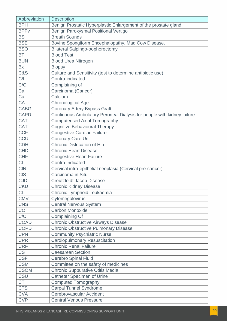| Abbreviation            | <b>Description</b>                                                     |
|-------------------------|------------------------------------------------------------------------|
| <b>BPH</b>              | Benign Prostatic Hyperplastic Enlargement of the prostate gland        |
| <b>BPP</b> <sub>v</sub> | Benign Paroxysmal Positional Vertigo                                   |
| <b>BS</b>               | <b>Breath Sounds</b>                                                   |
| <b>BSE</b>              | Bovine Spongiform Encephalopathy. Mad Cow Disease.                     |
| <b>BSO</b>              | <b>Bilateral Salpingo-oophorectomy</b>                                 |
| <b>BT</b>               | <b>Blood Test</b>                                                      |
| <b>BUN</b>              | <b>Blood Urea Nitrogen</b>                                             |
| <b>Bx</b>               | <b>Biopsy</b>                                                          |
| <b>C&amp;S</b>          | Culture and Sensitivity (test to determine antibiotic use)             |
| C/I                     | Contra-indicated                                                       |
| C/O                     | Complaining of                                                         |
| Ca                      | Carcinoma (Cancer)                                                     |
| Ca                      | Calcium                                                                |
| <b>CA</b>               | <b>Chronological Age</b>                                               |
| <b>CABG</b>             | <b>Coronary Artery Bypass Graft</b>                                    |
| <b>CAPD</b>             | Continuous Ambulatory Peroneal Dialysis for people with kidney failure |
| <b>CAT</b>              | Computerised Axial Tomography                                          |
| <b>CAT</b>              | <b>Cognitive Behavioural Therapy</b>                                   |
| <b>CCF</b>              | <b>Congestive Cardiac Failure</b>                                      |
| CCU                     | <b>Coronary Care Unit</b>                                              |
| <b>CDH</b>              | Chronic Dislocation of Hip                                             |
| <b>CHD</b>              | <b>Chronic Heart Disease</b>                                           |
| <b>CHF</b>              | <b>Congestive Heart Failure</b>                                        |
| CI                      | Contra Indicated                                                       |
| <b>CIN</b>              | Cervical intra-epithelial neoplasia (Cervical pre-cancer)              |
| <b>CIS</b>              | Carcinoma in Situ                                                      |
| <b>CJD</b>              | <b>Creutzfeldt Jacob Disease</b>                                       |
| <b>CKD</b>              | <b>Chronic Kidney Disease</b>                                          |
| <b>CLL</b>              | Chronic Lymphoid Leukaemia                                             |
| <b>CMV</b>              | Cytomegalovirus                                                        |
| <b>CNS</b>              | <b>Central Nervous System</b>                                          |
| CO                      | <b>Carbon Monoxide</b>                                                 |
| C/O                     | Complaining Of                                                         |
| <b>COAD</b>             | <b>Chronic Obstructive Airways Disease</b>                             |
| <b>COPD</b>             | <b>Chronic Obstructive Pulmonary Disease</b>                           |
| <b>CPN</b>              | <b>Community Psychiatric Nurse</b>                                     |
| <b>CPR</b>              | <b>Cardiopulmonary Resuscitation</b>                                   |
| <b>CRF</b>              | <b>Chronic Renal Failure</b>                                           |
| <b>CS</b>               | <b>Caesarean Section</b>                                               |
| <b>CSF</b>              | <b>Cerebro Spinal Fluid</b>                                            |
| <b>CSM</b>              | Committee on the safety of medicines                                   |
| <b>CSOM</b>             | <b>Chronic Suppurative Otitis Media</b>                                |
| CSU                     | <b>Catheter Specimen of Urine</b>                                      |
| <b>CT</b>               | <b>Computed Tomography</b>                                             |
| <b>CTS</b>              | <b>Carpal Tunnel Syndrome</b>                                          |
| <b>CVA</b>              | Cerebrovascular Accident                                               |
| <b>CVP</b>              | <b>Central Venous Pressure</b>                                         |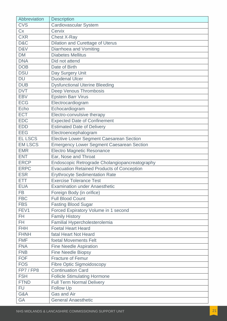| Abbreviation   | <b>Description</b>                                |
|----------------|---------------------------------------------------|
| <b>CVS</b>     | <b>Cardiovascular System</b>                      |
| Cx             | Cervix                                            |
| <b>CXR</b>     | <b>Chest X-Ray</b>                                |
| D&C            | Dilation and Curettage of Uterus                  |
| D&V            | Diarrhoea and Vomiting                            |
| <b>DM</b>      | <b>Diabetes Mellitus</b>                          |
| <b>DNA</b>     | Did not attend                                    |
| <b>DOB</b>     | Date of Birth                                     |
| <b>DSU</b>     | Day Surgery Unit                                  |
| <b>DU</b>      | <b>Duodenal Ulcer</b>                             |
| <b>DUB</b>     | <b>Dysfunctional Uterine Bleeding</b>             |
| <b>DVT</b>     | Deep Venous Thrombosis                            |
| <b>EBV</b>     | <b>Epstein Barr Virus</b>                         |
| <b>ECG</b>     | Electrocardiogram                                 |
| Echo           | Echocardiogram                                    |
| <b>ECT</b>     | Electro-convulsive therapy                        |
| <b>EDC</b>     | <b>Expected Date of Confinement</b>               |
| <b>EDD</b>     | <b>Estimated Date of Delivery</b>                 |
| <b>EEG</b>     | Electroencephalogram                              |
| EL LSCS        | <b>Elective Lower Segment Caesarean Section</b>   |
| <b>EM LSCS</b> | <b>Emergency Lower Segment Caesarean Section</b>  |
| <b>EMR</b>     | <b>Electro Magnetic Resonance</b>                 |
| <b>ENT</b>     | Ear, Nose and Throat                              |
| <b>ERCP</b>    | Endoscopic Retrograde Cholangiopancreatography    |
| <b>ERPC</b>    | <b>Evacuation Retained Products of Conception</b> |
| <b>ESR</b>     | <b>Erythrocyte Sedimentation Rate</b>             |
| ETT            | <b>Exercise Tolerance Test</b>                    |
| <b>EUA</b>     | <b>Examination under Anaesthetic</b>              |
| <b>FB</b>      | Foreign Body (in orifice)                         |
| <b>FBC</b>     | <b>Full Blood Count</b>                           |
| <b>FBS</b>     | <b>Fasting Blood Sugar</b>                        |
| FEV1           | Forced Expiratory Volume in 1 second              |
| FH.            | <b>Family History</b>                             |
| FH.            | Familial Hypercholesterolemia                     |
| <b>FHH</b>     | <b>Foetal Heart Heard</b>                         |
| <b>FHNH</b>    | fatal Heart Not Heard                             |
| <b>FMF</b>     | foetal Movements Felt                             |
| <b>FNA</b>     | <b>Fine Needle Aspiration</b>                     |
| <b>FNB</b>     | <b>Fine Needle Biopsy</b>                         |
| <b>FOF</b>     | <b>Fracture of Femur</b>                          |
| <b>FOS</b>     | <b>Fibre Optic Sigmoidoscopy</b>                  |
| FP7/FP8        | <b>Continuation Card</b>                          |
| <b>FSH</b>     | <b>Follicle Stimulating Hormone</b>               |
| <b>FTND</b>    | <b>Full Term Normal Delivery</b>                  |
| <b>FU</b>      | Follow Up                                         |
| G&A            | <b>Gas and Air</b>                                |
| GA             | <b>General Anaesthetic</b>                        |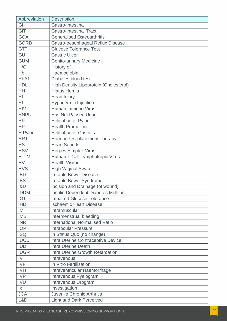| Abbreviation           | <b>Description</b>                            |
|------------------------|-----------------------------------------------|
| GI                     | Gastro-intestinal                             |
| <b>GIT</b>             | <b>Gastro-intestinal Tract</b>                |
| <b>GOA</b>             | <b>Generalised Osteoarthritis</b>             |
| <b>GORD</b>            | Gastro-oesophageal Reflux Disease             |
| <b>GTT</b>             | <b>Glucose Tolerance Test</b>                 |
| GU                     | <b>Gastric Ulcer</b>                          |
| <b>GUM</b>             | <b>Genito-urinary Medicine</b>                |
| H/O                    | History of                                    |
| Hb                     | Haemoglobin                                   |
| HbA1                   | Diabetes blood test                           |
| <b>HDL</b>             | <b>High Density Lipoprotein (Cholesterol)</b> |
| <b>HH</b>              | <b>Hiatus Hernia</b>                          |
| HI                     | <b>Head Injury</b>                            |
| H <sub>l</sub>         | <b>Hypodermic Injection</b>                   |
| <b>HIV</b>             | Human immuno Virus                            |
| <b>HNPU</b>            | <b>Has Not Passed Urine</b>                   |
| <b>HP</b>              | Helicobacter Pylori                           |
| <b>HP</b>              | <b>Health Promotion</b>                       |
| H Pylori               | <b>Helicobacter Gastritis</b>                 |
| <b>HRT</b>             | Hormone Replacement Therapy                   |
| <b>HS</b>              | <b>Heart Sounds</b>                           |
| <b>HSV</b>             | <b>Herpes Simplex Virus</b>                   |
| <b>HTLV</b>            | Human T Cell Lymphotropic Virus               |
| <b>HV</b>              | <b>Health Visitor</b>                         |
| <b>HVS</b>             | <b>High Vaginal Swab</b>                      |
| <b>IBD</b>             | <b>Irritable Bowel Disease</b>                |
| <b>IBS</b>             | Irritable Bowel Syndrome                      |
| 18D                    | Incision and Drainage (of wound)              |
| <b>IDDM</b>            | <b>Insulin Dependent Diabetes Mellitus</b>    |
| <b>IGT</b>             | <b>Impaired Glucose Tolerance</b>             |
| <b>IHD</b>             | <b>Ischaemic Heart Disease</b>                |
| IM                     | Intramuscular                                 |
| <b>IMB</b>             | Intermenstrual bleeding                       |
| <b>INR</b>             | <b>International Normalised Ratio</b>         |
| <b>IOP</b>             | <b>Intraocular Pressure</b>                   |
| <b>ISQ</b>             | In Status Quo (no change)                     |
| <b>IUCD</b>            | Intra Uterine Contraceptive Device            |
| IUD                    | <b>Intra Uterine Death</b>                    |
| <b>IUGR</b>            | Intra Uterine Growth Retardation              |
| IV                     | Intravenous                                   |
| <b>IVF</b>             | In Vitro Fertilisation                        |
| <b>IVH</b>             | Intraventricular Haemorrhage                  |
| <b>IVP</b>             | Intravenous Pyelogram                         |
| <b>IVU</b>             | Intravenous Urogram                           |
| $\mathsf{I}\mathsf{X}$ | Investigation                                 |
| <b>JCA</b>             | <b>Juvenile Chronic Arthritis</b>             |
| L&D                    | <b>Light and Dark Perceived</b>               |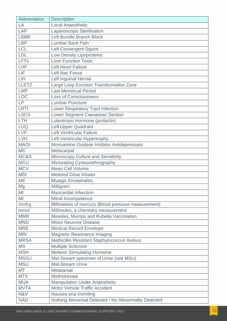| Abbreviation | <b>Description</b>                                  |  |
|--------------|-----------------------------------------------------|--|
| LA           | <b>Local Anaesthetic</b>                            |  |
| <b>LAP</b>   | Laparoscopic Sterilisation                          |  |
| <b>LBBB</b>  | Left Bundle Branch Block                            |  |
| <b>LBP</b>   | <b>Lumbar Back Pain</b>                             |  |
| <b>LCL</b>   | <b>Left Convergent Squint</b>                       |  |
| <b>LDL</b>   | <b>Low Density Lipoproteins</b>                     |  |
| <b>LFTs</b>  | <b>Liver Function Tests</b>                         |  |
| <b>LHF</b>   | <b>Left Heart Failure</b>                           |  |
| LIF          | Left Iliac Fossa                                    |  |
| LIH          | Left Inguinal Hernia                                |  |
| <b>LLETZ</b> | Large Loop Excision Transformation Zone             |  |
| <b>LMP</b>   | <b>Last Menstrual Period</b>                        |  |
| <b>LOC</b>   | <b>Loss of Consciousness</b>                        |  |
| LP           | <b>Lumbar Puncture</b>                              |  |
| <b>LRTI</b>  | Lower Respiratory Tract Infection                   |  |
| <b>LSCS</b>  | Lower Segment Caesarean Section                     |  |
| <b>LTH</b>   | Luteotropic Hormone (prolactin)                     |  |
| <b>LUQ</b>   | Left Upper Quadrant                                 |  |
| LVF          | Left Ventricular Failure                            |  |
| LVH          | Left Ventricular Hypertrophy                        |  |
| <b>MAOI</b>  | Monoamine Oxidase Inhibitor Antidepressant          |  |
| <b>MC</b>    | Metacarpal                                          |  |
| MC&S         | Microscopy Culture and Sensitivity                  |  |
| <b>MCU</b>   | Micturating Cystourethrography                      |  |
| <b>MCV</b>   | <b>Mean Cell Volume</b>                             |  |
| <b>MDI</b>   | <b>Metered Dose Inhaler</b>                         |  |
| <b>ME</b>    | <b>Myalgic Encephalitis</b>                         |  |
| Mg           | Milligram                                           |  |
| MI           | Myocardial Infarction                               |  |
| MI           | Mitral Incompetence                                 |  |
| mmhg         | Millimetres of mercury (Blood pressure measurement) |  |
| mmol         | Millimoles, a chemistry measurement                 |  |
| <b>MMR</b>   | Measles, Mumps and Rubella Vaccination              |  |
| <b>MND</b>   | <b>Motor Neurone Disease</b>                        |  |
| <b>MRE</b>   | <b>Medical Record Envelope</b>                      |  |
| <b>MRI</b>   | <b>Magnetic Resonance Imaging</b>                   |  |
| <b>MRSA</b>  | Methicillin Resistant Staphylococcus Aureus         |  |
| <b>MS</b>    | <b>Multiple Sclerosis</b>                           |  |
| <b>MSH</b>   | <b>Melanin Stimulating Hormone</b>                  |  |
| <b>MSSU</b>  | Mid-Stream specimen of Urine (see MSU)              |  |
| <b>MSU</b>   | <b>Mid-Stream Urine</b>                             |  |
| <b>MT</b>    | Metatarsal                                          |  |
| <b>MTX</b>   | Methotrexate                                        |  |
| <b>MUA</b>   | <b>Manipulation Under Anaesthetic</b>               |  |
| <b>MVTA</b>  | <b>Motor Vehicle Traffic Accident</b>               |  |
| N&V          | Nausea and Vomiting                                 |  |
| <b>NAD</b>   | Nothing Abnormal Detected / No Abnormality Detected |  |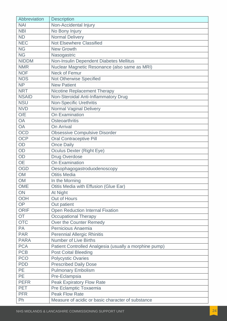| Abbreviation | <b>Description</b>                                     |
|--------------|--------------------------------------------------------|
| <b>NAI</b>   | Non-Accidental Injury                                  |
| <b>NBI</b>   | No Bony Injury                                         |
| <b>ND</b>    | <b>Normal Delivery</b>                                 |
| <b>NEC</b>   | <b>Not Elsewhere Classified</b>                        |
| <b>NG</b>    | <b>New Growth</b>                                      |
| <b>NG</b>    | Nasogastric                                            |
| <b>NIDDM</b> | Non-Insulin Dependent Diabetes Mellitus                |
| <b>NMR</b>   | Nuclear Magnetic Resonance (also same as MRI)          |
| <b>NOF</b>   | <b>Neck of Femur</b>                                   |
| <b>NOS</b>   | Not Otherwise Specified                                |
| <b>NP</b>    | <b>New Patient</b>                                     |
| <b>NRT</b>   | Nicotine Replacement Therapy                           |
| <b>NSAID</b> | Non-Steroidal Anti-Inflammatory Drug                   |
| <b>NSU</b>   | <b>Non-Specific Urethritis</b>                         |
| <b>NVD</b>   | <b>Normal Vaginal Delivery</b>                         |
| O/E          | On Examination                                         |
| <b>OA</b>    | <b>Osteoarthritis</b>                                  |
| <b>OA</b>    | On Arrival                                             |
| <b>OCD</b>   | <b>Obsessive Compulsive Disorder</b>                   |
| <b>OCP</b>   | <b>Oral Contraceptive Pill</b>                         |
| OD           | <b>Once Daily</b>                                      |
| OD           | <b>Oculus Dexter (Right Eye)</b>                       |
| OD           | <b>Drug Overdose</b>                                   |
| <b>OE</b>    | On Examination                                         |
| <b>OGD</b>   | Oesophagogastroduodenoscopy                            |
| <b>OM</b>    | <b>Otitis Media</b>                                    |
| <b>OM</b>    | In the Morning                                         |
| OME          | Otitis Media with Effusion (Glue Ear)                  |
| ON           | At Night                                               |
| <b>OOH</b>   | Out of Hours                                           |
| OP           | Out patient                                            |
| <b>ORIF</b>  | Open Reduction Internal Fixation                       |
| <b>OT</b>    | <b>Occupational Therapy</b>                            |
| <b>OTC</b>   | Over the Counter Remedy                                |
| PA           | Pernicious Anaemia                                     |
| <b>PAR</b>   | <b>Perennial Allergic Rhinitis</b>                     |
| <b>PARA</b>  | <b>Number of Live Births</b>                           |
| <b>PCA</b>   | Patient Controlled Analgesia (usually a morphine pump) |
| <b>PCB</b>   | <b>Post Coital Bleeding</b>                            |
| <b>PCO</b>   | <b>Polycystic Ovaries</b>                              |
| <b>PDD</b>   | <b>Prescribed Daily Dose</b>                           |
| <b>PE</b>    | <b>Pulmonary Embolism</b>                              |
| <b>PE</b>    | Pre-Eclampsia                                          |
| <b>PEFR</b>  | <b>Peak Expiratory Flow Rate</b>                       |
| <b>PET</b>   | Pre Eclamptic Toxaemia                                 |
| <b>PFR</b>   | <b>Peak Flow Rate</b>                                  |
| Ph           | Measure of acidic or basic character of substance      |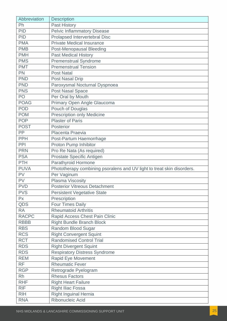| Abbreviation | <b>Description</b>                                                     |
|--------------|------------------------------------------------------------------------|
| Ph           | <b>Past History</b>                                                    |
| <b>PID</b>   | <b>Pelvic Inflammatory Disease</b>                                     |
| <b>PID</b>   | Prolapsed Intervertebral Disc                                          |
| <b>PMA</b>   | <b>Private Medical Insurance</b>                                       |
| <b>PMB</b>   | <b>Post-Menopausal Bleeding</b>                                        |
| <b>PMH</b>   | <b>Past Medical History</b>                                            |
| <b>PMS</b>   | <b>Premenstrual Syndrome</b>                                           |
| <b>PMT</b>   | <b>Premenstrual Tension</b>                                            |
| <b>PN</b>    | <b>Post Natal</b>                                                      |
| <b>PND</b>   | <b>Post Nasal Drip</b>                                                 |
| <b>PND</b>   | Paroxysmal Nocturnal Dyspnoea                                          |
| <b>PNS</b>   | Post Nasal Space                                                       |
| PO           | Per Oral by Mouth                                                      |
| <b>POAG</b>  | Primary Open Angle Glaucoma                                            |
| <b>POD</b>   | Pouch of Douglas                                                       |
| <b>POM</b>   | <b>Prescription only Medicine</b>                                      |
| <b>POP</b>   | <b>Plaster of Paris</b>                                                |
| <b>POST</b>  | Posterior                                                              |
| PP           | Placenta Praevia                                                       |
| <b>PPH</b>   | Post-Partum Haemorrhage                                                |
| PPI          | Proton Pump Inhibitor                                                  |
| <b>PRN</b>   | Pro Re Nata (As required)                                              |
| <b>PSA</b>   | Prostate Specific Antigen                                              |
| <b>PTH</b>   | <b>Parathyroid Hormone</b>                                             |
| <b>PUVA</b>  | Phototherapy combining psoralens and UV light to treat skin disorders. |
| PV           | Per Vaginum                                                            |
| PV           | Plasma Viscosity                                                       |
| <b>PVD</b>   | <b>Posterior Vitreous Detachment</b>                                   |
| <b>PVS</b>   | <b>Persistent Vegetative State</b>                                     |
| Px           | Prescription                                                           |
| QDS          | <b>Four Times Daily</b>                                                |
| <b>RA</b>    | <b>Rheumatoid Arthritis</b>                                            |
| <b>RACPC</b> | Rapid Access Chest Pain Clinic                                         |
| <b>RBBB</b>  | <b>Right Bundle Branch Block</b>                                       |
| <b>RBS</b>   | Random Blood Sugar                                                     |
| <b>RCS</b>   | <b>Right Convergent Squint</b>                                         |
| <b>RCT</b>   | <b>Randomised Control Trial</b>                                        |
| <b>RDS</b>   | <b>Right Divergent Squint</b>                                          |
| <b>RDS</b>   | <b>Respiratory Distress Syndrome</b>                                   |
| <b>REM</b>   | <b>Rapid Eye Movement</b>                                              |
| <b>RF</b>    | <b>Rheumatic Fever</b>                                                 |
| <b>RGP</b>   | Retrograde Pyelogram                                                   |
| <b>Rh</b>    | <b>Rhesus Factors</b>                                                  |
| <b>RHF</b>   | <b>Right Heart Failure</b>                                             |
| <b>RIF</b>   | <b>Right Iliac Fossa</b>                                               |
| <b>RIH</b>   | <b>Right Inguinal Hernia</b>                                           |
| <b>RNA</b>   | Ribonucleic Acid                                                       |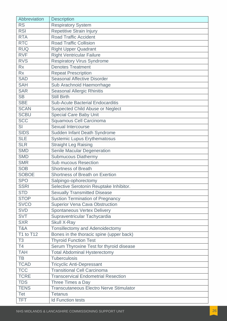| Abbreviation   | <b>Description</b>                             |
|----------------|------------------------------------------------|
| <b>RS</b>      | <b>Respiratory System</b>                      |
| <b>RSI</b>     | Repetitive Strain Injury                       |
| <b>RTA</b>     | <b>Road Traffic Accident</b>                   |
| <b>RTC</b>     | <b>Road Traffic Collision</b>                  |
| <b>RUQ</b>     | <b>Right Upper Quadrant</b>                    |
| <b>RVF</b>     | <b>Right Ventricular Failure</b>               |
| <b>RVS</b>     | <b>Respiratory Virus Syndrome</b>              |
| <b>Rx</b>      | <b>Denotes Treatment</b>                       |
| <b>Rx</b>      | <b>Repeat Prescription</b>                     |
| <b>SAD</b>     | <b>Seasonal Affective Disorder</b>             |
| <b>SAH</b>     | Sub Arachnoid Haemorrhage                      |
| <b>SAR</b>     | <b>Seasonal Allergic Rhinitis</b>              |
| <b>SB</b>      | <b>Still Birth</b>                             |
| <b>SBE</b>     | <b>Sub-Acute Bacterial Endocarditis</b>        |
| <b>SCAN</b>    | <b>Suspected Child Abuse or Neglect</b>        |
| <b>SCBU</b>    | <b>Special Care Baby Unit</b>                  |
| <b>SCC</b>     | Squamous Cell Carcinoma                        |
| <b>SI</b>      | Sexual Intercourse                             |
| <b>SIDS</b>    | Sudden Infant Death Syndrome                   |
| <b>SLE</b>     | <b>Systemic Lupus Erythematosus</b>            |
| <b>SLR</b>     | <b>Straight Leg Raising</b>                    |
| <b>SMD</b>     | <b>Senile Macular Degeneration</b>             |
| <b>SMD</b>     | <b>Submucous Diathermy</b>                     |
| <b>SMR</b>     | <b>Sub mucous Resection</b>                    |
| <b>SOB</b>     | <b>Shortness of Breath</b>                     |
| <b>SOBOE</b>   | Shortness of Breath on Exertion                |
| <b>SPO</b>     | Salpingo-ophorectomy                           |
| <b>SSRI</b>    | Selective Serotonin Reuptake Inhibitor.        |
| <b>STD</b>     | <b>Sexually Transmitted Disease</b>            |
| <b>STOP</b>    | <b>Suction Termination of Pregnancy</b>        |
| <b>SVCO</b>    | Superior Vena Cava Obstruction                 |
| <b>SVD</b>     | <b>Spontaneous Vertex Delivery</b>             |
| <b>SVT</b>     | Supraventricular Tachycardia                   |
| <b>SXR</b>     | <b>Skull X-Ray</b>                             |
| T&A            | Tonsillectomy and Adenoidectomy                |
| T1 to T12      | Bones in the thoracic spine (upper back)       |
| T <sub>3</sub> | <b>Thyroid Function Test</b>                   |
| T <sub>4</sub> | Serum Thyroxine Test for thyroid disease       |
| <b>TAH</b>     | <b>Total Abdominal Hysterectomy</b>            |
| <b>TB</b>      | <b>Tuberculosis</b>                            |
| <b>TCAD</b>    | <b>Tricyclic Anti-Depressant</b>               |
| <b>TCC</b>     | <b>Transitional Cell Carcinoma</b>             |
| <b>TCRE</b>    | <b>Transcervical Endometrial Resection</b>     |
| <b>TDS</b>     | Three Times a Day                              |
| <b>TENS</b>    | <b>Transcutaneous Electro Nerve Stimulator</b> |
| <b>Tet</b>     | <b>Tetanus</b>                                 |
| <b>TFT</b>     | <b>Id Function tests</b>                       |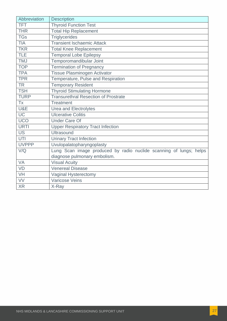| Abbreviation | Description                                                        |
|--------------|--------------------------------------------------------------------|
| <b>TFT</b>   | <b>Thyroid Function Test</b>                                       |
| <b>THR</b>   | <b>Total Hip Replacement</b>                                       |
| <b>TGs</b>   | <b>Triglycerides</b>                                               |
| <b>TIA</b>   | <b>Transient Ischaemic Attack</b>                                  |
| <b>TKR</b>   | <b>Total Knee Replacement</b>                                      |
| <b>TLE</b>   | <b>Temporal Lobe Epilepsy</b>                                      |
| <b>TMJ</b>   | Temporomandibular Joint                                            |
| <b>TOP</b>   | <b>Termination of Pregnancy</b>                                    |
| <b>TPA</b>   | Tissue Plasminogen Activator                                       |
| <b>TPR</b>   | Temperature, Pulse and Respiration                                 |
| <b>TR</b>    | <b>Temporary Resident</b>                                          |
| <b>TSH</b>   | <b>Thyroid Stimulating Hormone</b>                                 |
| <b>TURP</b>  | <b>Transurethral Resection of Prostrate</b>                        |
| <b>Tx</b>    | <b>Treatment</b>                                                   |
| U&E          | <b>Urea and Electrolytes</b>                                       |
| <b>UC</b>    | <b>Ulcerative Colitis</b>                                          |
| UCO          | <b>Under Care Of</b>                                               |
| <b>URTI</b>  | <b>Upper Respiratory Tract Infection</b>                           |
| <b>US</b>    | <b>Ultrasound</b>                                                  |
| UTI          | <b>Urinary Tract Infection</b>                                     |
| <b>UVPPP</b> | Uvulopalatopharyngoplasty                                          |
| V/Q          | Lung Scan image produced by radio nuclide scanning of lungs; helps |
|              | diagnose pulmonary embolism.                                       |
| <b>VA</b>    | <b>Visual Acuity</b>                                               |
| <b>VD</b>    | <b>Venereal Disease</b>                                            |
| VH           | Vaginal Hysterectomy                                               |
| VV           | Varicose Veins                                                     |
| <b>XR</b>    | X-Ray                                                              |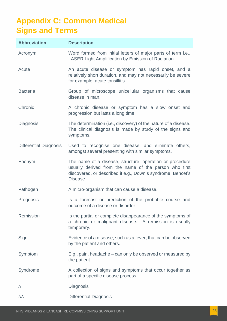## <span id="page-27-0"></span>**Appendix C: Common Medical Signs and Terms**

| <b>Abbreviation</b>           | <b>Description</b>                                                                                                                                                                                 |
|-------------------------------|----------------------------------------------------------------------------------------------------------------------------------------------------------------------------------------------------|
| Acronym                       | Word formed from initial letters of major parts of term i.e.,<br>LASER Light Amplification by Emission of Radiation.                                                                               |
| Acute                         | An acute disease or symptom has rapid onset, and a<br>relatively short duration, and may not necessarily be severe<br>for example, acute tonsillitis.                                              |
| <b>Bacteria</b>               | Group of microscope unicellular organisms that cause<br>disease in man.                                                                                                                            |
| Chronic                       | A chronic disease or symptom has a slow onset and<br>progression but lasts a long time.                                                                                                            |
| Diagnosis                     | The determination (i.e., discovery) of the nature of a disease.<br>The clinical diagnosis is made by study of the signs and<br>symptoms.                                                           |
| <b>Differential Diagnosis</b> | Used to recognise one disease, and eliminate others,<br>amongst several presenting with similar symptoms.                                                                                          |
| Eponym                        | The name of a disease, structure, operation or procedure<br>usually derived from the name of the person who first<br>discovered, or described it e.g., Down's syndrome, Behcet's<br><b>Disease</b> |
| Pathogen                      | A micro-organism that can cause a disease.                                                                                                                                                         |
| Prognosis                     | Is a forecast or prediction of the probable course and<br>outcome of a disease or disorder                                                                                                         |
| Remission                     | Is the partial or complete disappearance of the symptoms of<br>a chronic or malignant disease. A remission is usually<br>temporary.                                                                |
| Sign                          | Evidence of a disease, such as a fever, that can be observed<br>by the patient and others.                                                                                                         |
| Symptom                       | E.g., pain, headache – can only be observed or measured by<br>the patient.                                                                                                                         |
| Syndrome                      | A collection of signs and symptoms that occur together as<br>part of a specific disease process.                                                                                                   |
| Δ                             | <b>Diagnosis</b>                                                                                                                                                                                   |
| $\Delta\Delta$                | <b>Differential Diagnosis</b>                                                                                                                                                                      |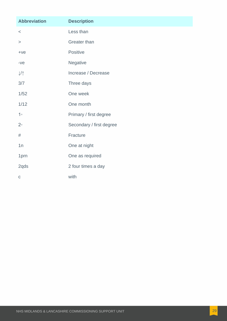| <b>Abbreviation</b>       | <b>Description</b>       |
|---------------------------|--------------------------|
| $\,<$                     | Less than                |
| $\,>$                     | <b>Greater than</b>      |
| $+ve$                     | Positive                 |
| $-ve$                     | Negative                 |
| $\downarrow$ / $\uparrow$ | Increase / Decrease      |
| 3/7                       | Three days               |
| 1/52                      | One week                 |
| 1/12                      | One month                |
| 1 <sup>°</sup>            | Primary / first degree   |
| $2^{\circ}$               | Secondary / first degree |
| $\#$                      | Fracture                 |
| 1n                        | One at night             |
| 1prn                      | One as required          |
| 2qds                      | 2 four times a day       |
| $\mathsf C$               | with                     |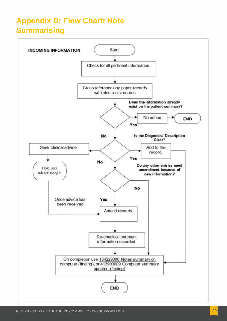## <span id="page-29-0"></span>**Appendix D: Flow Chart: Note Summarising**

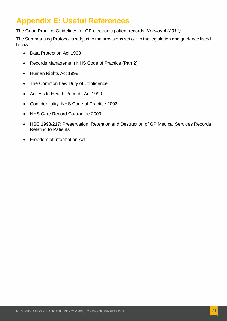## **Appendix E: Useful References**

The Good Practice Guidelines for GP electronic patient records, *Version 4 (2011)*

The Summarising Protocol is subject to the provisions set out in the legislation and guidance listed below:

- Data Protection Act 1998
- Records Management NHS Code of Practice (Part 2)
- Human Rights Act 1998
- The Common Law Duty of Confidence
- Access to Health Records Act 1990
- Confidentiality: NHS Code of Practice 2003
- NHS Care Record Guarantee 2009
- HSC 1998/217: Preservation, Retention and Destruction of GP Medical Services Records Relating to Patients
- Freedom of Information Act